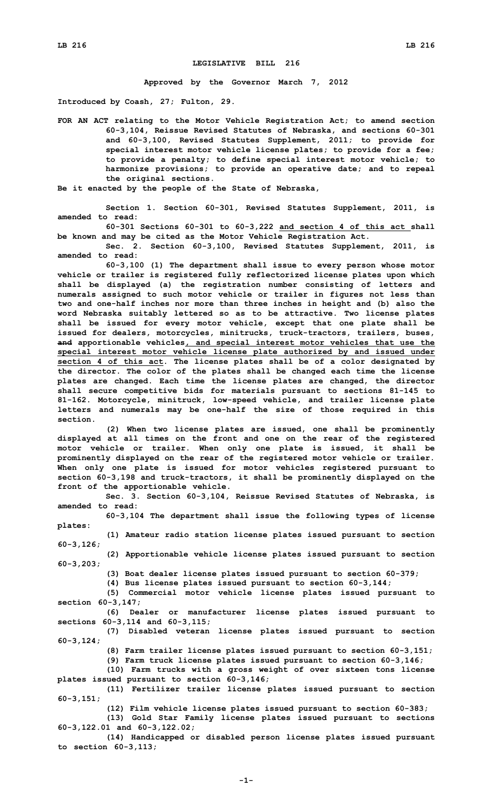## **LEGISLATIVE BILL 216**

**Approved by the Governor March 7, 2012**

**Introduced by Coash, 27; Fulton, 29.**

**FOR AN ACT relating to the Motor Vehicle Registration Act; to amend section 60-3,104, Reissue Revised Statutes of Nebraska, and sections 60-301 and 60-3,100, Revised Statutes Supplement, 2011; to provide for special interest motor vehicle license plates; to provide for <sup>a</sup> fee; to provide <sup>a</sup> penalty; to define special interest motor vehicle; to harmonize provisions; to provide an operative date; and to repeal the original sections.**

**Be it enacted by the people of the State of Nebraska,**

**Section 1. Section 60-301, Revised Statutes Supplement, 2011, is amended to read:**

**60-301 Sections 60-301 to 60-3,222 and section 4 of this act shall be known and may be cited as the Motor Vehicle Registration Act.**

**Sec. 2. Section 60-3,100, Revised Statutes Supplement, 2011, is amended to read:**

**60-3,100 (1) The department shall issue to every person whose motor vehicle or trailer is registered fully reflectorized license plates upon which shall be displayed (a) the registration number consisting of letters and numerals assigned to such motor vehicle or trailer in figures not less than two and one-half inches nor more than three inches in height and (b) also the word Nebraska suitably lettered so as to be attractive. Two license plates shall be issued for every motor vehicle, except that one plate shall be issued for dealers, motorcycles, minitrucks, truck-tractors, trailers, buses, and apportionable vehicles, and special interest motor vehicles that use the special interest motor vehicle license plate authorized by and issued under section 4 of this act. The license plates shall be of <sup>a</sup> color designated by the director. The color of the plates shall be changed each time the license plates are changed. Each time the license plates are changed, the director shall secure competitive bids for materials pursuant to sections 81-145 to 81-162. Motorcycle, minitruck, low-speed vehicle, and trailer license plate letters and numerals may be one-half the size of those required in this section.**

**(2) When two license plates are issued, one shall be prominently displayed at all times on the front and one on the rear of the registered motor vehicle or trailer. When only one plate is issued, it shall be prominently displayed on the rear of the registered motor vehicle or trailer. When only one plate is issued for motor vehicles registered pursuant to section 60-3,198 and truck-tractors, it shall be prominently displayed on the front of the apportionable vehicle.**

**Sec. 3. Section 60-3,104, Reissue Revised Statutes of Nebraska, is amended to read:**

**60-3,104 The department shall issue the following types of license plates:**

**60-3,126; (2) Apportionable vehicle license plates issued pursuant to section**

**(1) Amateur radio station license plates issued pursuant to section**

**60-3,203;**

**(3) Boat dealer license plates issued pursuant to section 60-379;**

**(4) Bus license plates issued pursuant to section 60-3,144;**

**(5) Commercial motor vehicle license plates issued pursuant to section 60-3,147;**

**(6) Dealer or manufacturer license plates issued pursuant to sections 60-3,114 and 60-3,115;**

**(7) Disabled veteran license plates issued pursuant to section 60-3,124;**

**(8) Farm trailer license plates issued pursuant to section 60-3,151;**

**(9) Farm truck license plates issued pursuant to section 60-3,146;**

**(10) Farm trucks with <sup>a</sup> gross weight of over sixteen tons license plates issued pursuant to section 60-3,146;**

**(11) Fertilizer trailer license plates issued pursuant to section 60-3,151;**

**(12) Film vehicle license plates issued pursuant to section 60-383; (13) Gold Star Family license plates issued pursuant to sections**

**60-3,122.01 and 60-3,122.02;**

**(14) Handicapped or disabled person license plates issued pursuant to section 60-3,113;**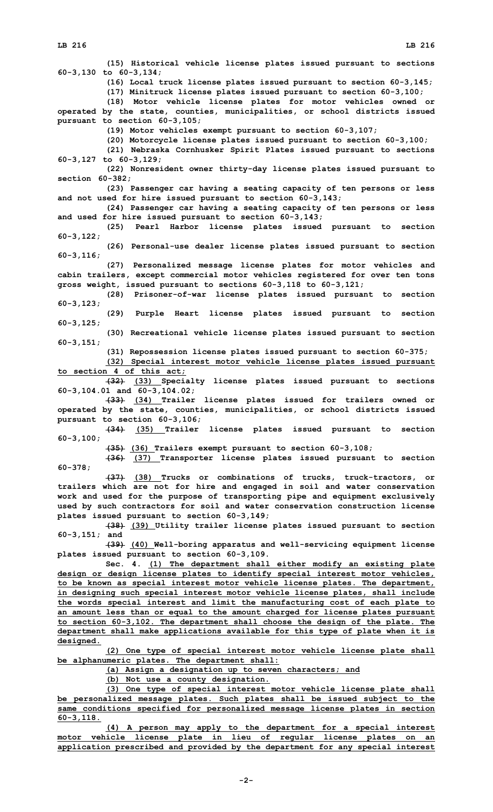**(15) Historical vehicle license plates issued pursuant to sections 60-3,130 to 60-3,134; (16) Local truck license plates issued pursuant to section 60-3,145; (17) Minitruck license plates issued pursuant to section 60-3,100; (18) Motor vehicle license plates for motor vehicles owned or operated by the state, counties, municipalities, or school districts issued pursuant to section 60-3,105; (19) Motor vehicles exempt pursuant to section 60-3,107; (20) Motorcycle license plates issued pursuant to section 60-3,100; (21) Nebraska Cornhusker Spirit Plates issued pursuant to sections 60-3,127 to 60-3,129; (22) Nonresident owner thirty-day license plates issued pursuant to section 60-382; (23) Passenger car having <sup>a</sup> seating capacity of ten persons or less and not used for hire issued pursuant to section 60-3,143; (24) Passenger car having <sup>a</sup> seating capacity of ten persons or less and used for hire issued pursuant to section 60-3,143; (25) Pearl Harbor license plates issued pursuant to section 60-3,122; (26) Personal-use dealer license plates issued pursuant to section 60-3,116; (27) Personalized message license plates for motor vehicles and cabin trailers, except commercial motor vehicles registered for over ten tons gross weight, issued pursuant to sections 60-3,118 to 60-3,121; (28) Prisoner-of-war license plates issued pursuant to section 60-3,123; (29) Purple Heart license plates issued pursuant to section 60-3,125; (30) Recreational vehicle license plates issued pursuant to section 60-3,151; (31) Repossession license plates issued pursuant to section 60-375; (32) Special interest motor vehicle license plates issued pursuant to section 4 of this act; (32) (33) Specialty license plates issued pursuant to sections 60-3,104.01 and 60-3,104.02; (33) (34) Trailer license plates issued for trailers owned or operated by the state, counties, municipalities, or school districts issued pursuant to section 60-3,106; (34) (35) Trailer license plates issued pursuant to section 60-3,100; (35) (36) Trailers exempt pursuant to section 60-3,108; (36) (37) Transporter license plates issued pursuant to section 60-378; (37) (38) Trucks or combinations of trucks, truck-tractors, or trailers which are not for hire and engaged in soil and water conservation work and used for the purpose of transporting pipe and equipment exclusively used by such contractors for soil and water conservation construction license plates issued pursuant to section 60-3,149; (38) (39) Utility trailer license plates issued pursuant to section 60-3,151; and (39) (40) Well-boring apparatus and well-servicing equipment license plates issued pursuant to section 60-3,109. Sec. 4. (1) The department shall either modify an existing plate design or design license plates to identify special interest motor vehicles, to be known as special interest motor vehicle license plates. The department, in designing such special interest motor vehicle license plates, shall include the words special interest and limit the manufacturing cost of each plate to an amount less than or equal to the amount charged for license plates pursuant to section 60-3,102. The department shall choose the design of the plate. The department shall make applications available for this type of plate when it is designed. (2) One type of special interest motor vehicle license plate shall be alphanumeric plates. The department shall: (a) Assign <sup>a</sup> designation up to seven characters; and (b) Not use <sup>a</sup> county designation. (3) One type of special interest motor vehicle license plate shall be personalized message plates. Such plates shall be issued subject to the same conditions specified for personalized message license plates in section 60-3,118.**

**(4) <sup>A</sup> person may apply to the department for <sup>a</sup> special interest motor vehicle license plate in lieu of regular license plates on an application prescribed and provided by the department for any special interest**